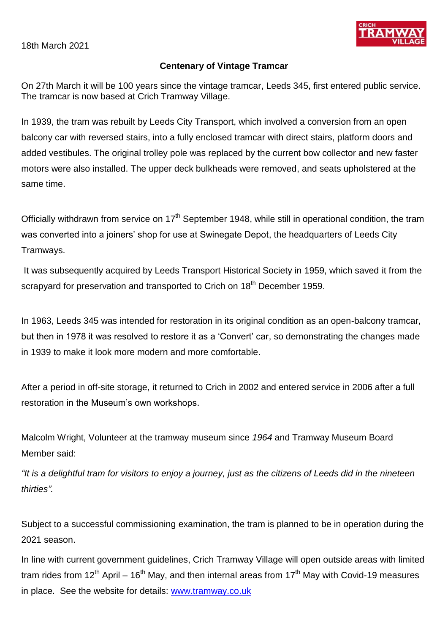18th March 2021



## **Centenary of Vintage Tramcar**

On 27th March it will be 100 years since the vintage tramcar, Leeds 345, first entered public service. The tramcar is now based at Crich Tramway Village.

In 1939, the tram was rebuilt by Leeds City Transport, which involved a conversion from an open balcony car with reversed stairs, into a fully enclosed tramcar with direct stairs, platform doors and added vestibules. The original trolley pole was replaced by the current bow collector and new faster motors were also installed. The upper deck bulkheads were removed, and seats upholstered at the same time.

Officially withdrawn from service on 17<sup>th</sup> September 1948, while still in operational condition, the tram was converted into a joiners' shop for use at Swinegate Depot, the headquarters of Leeds City Tramways.

It was subsequently acquired by Leeds Transport Historical Society in 1959, which saved it from the scrapyard for preservation and transported to Crich on 18<sup>th</sup> December 1959.

In 1963, Leeds 345 was intended for restoration in its original condition as an open-balcony tramcar, but then in 1978 it was resolved to restore it as a 'Convert' car, so demonstrating the changes made in 1939 to make it look more modern and more comfortable.

After a period in off-site storage, it returned to Crich in 2002 and entered service in 2006 after a full restoration in the Museum's own workshops.

Malcolm Wright, Volunteer at the tramway museum since *1964* and Tramway Museum Board Member said:

*"It is a delightful tram for visitors to enjoy a journey, just as the citizens of Leeds did in the nineteen thirties".*

Subject to a successful commissioning examination, the tram is planned to be in operation during the 2021 season.

In line with current government guidelines, Crich Tramway Village will open outside areas with limited tram rides from  $12^{th}$  April – 16<sup>th</sup> May, and then internal areas from  $17^{th}$  May with Covid-19 measures in place. See the website for details: [www.tramway.co.uk](http://www.tramway.co.uk/)